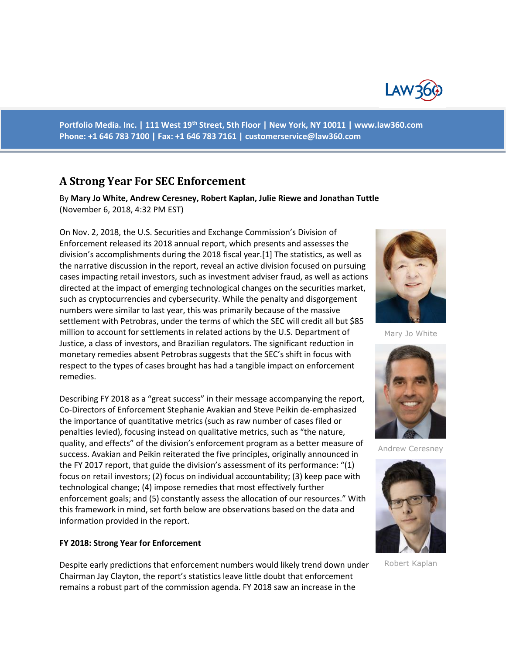

**Portfolio Media. Inc. | 111 West 19th Street, 5th Floor | New York, NY 10011 | www.law360.com Phone: +1 646 783 7100 | Fax: +1 646 783 7161 | customerservice@law360.com**

# **A Strong Year For SEC Enforcement**

By **Mary Jo White, Andrew Ceresney, Robert Kaplan, Julie Riewe and Jonathan Tuttle** (November 6, 2018, 4:32 PM EST)

On Nov. 2, 2018, the U.S. Securities and Exchange Commission's Division of Enforcement released its 2018 annual report, which presents and assesses the division's accomplishments during the 2018 fiscal year.[1] The statistics, as well as the narrative discussion in the report, reveal an active division focused on pursuing cases impacting retail investors, such as investment adviser fraud, as well as actions directed at the impact of emerging technological changes on the securities market, such as cryptocurrencies and cybersecurity. While the penalty and disgorgement numbers were similar to last year, this was primarily because of the massive settlement with Petrobras, under the terms of which the SEC will credit all but \$85 million to account for settlements in related actions by the U.S. Department of Justice, a class of investors, and Brazilian regulators. The significant reduction in monetary remedies absent Petrobras suggests that the SEC's shift in focus with respect to the types of cases brought has had a tangible impact on enforcement remedies.

Describing FY 2018 as a "great success" in their message accompanying the report, Co-Directors of Enforcement Stephanie Avakian and Steve Peikin de-emphasized the importance of quantitative metrics (such as raw number of cases filed or penalties levied), focusing instead on qualitative metrics, such as "the nature, quality, and effects" of the division's enforcement program as a better measure of success. Avakian and Peikin reiterated the five principles, originally announced in the FY 2017 report, that guide the division's assessment of its performance: "(1) focus on retail investors; (2) focus on individual accountability; (3) keep pace with technological change; (4) impose remedies that most effectively further enforcement goals; and (5) constantly assess the allocation of our resources." With this framework in mind, set forth below are observations based on the data and information provided in the report.

#### **FY 2018: Strong Year for Enforcement**

Despite early predictions that enforcement numbers would likely trend down under Chairman Jay Clayton, the report's statistics leave little doubt that enforcement remains a robust part of the commission agenda. FY 2018 saw an increase in the



Mary Jo White



Andrew Ceresney



Robert Kaplan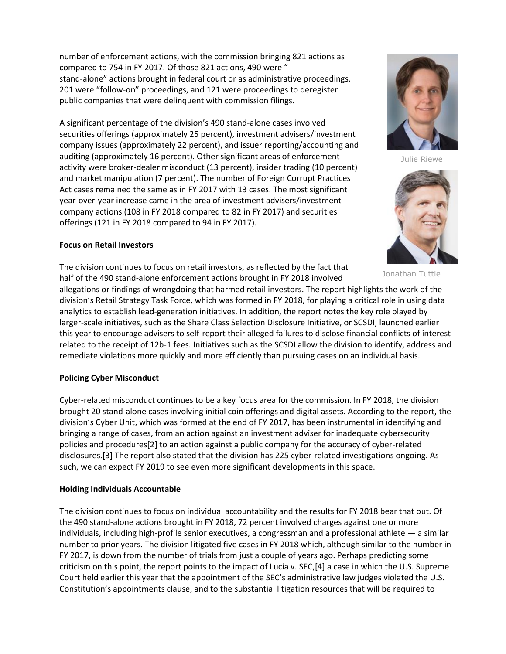number of enforcement actions, with the commission bringing 821 actions as compared to 754 in FY 2017. Of those 821 actions, 490 were " stand-alone" actions brought in federal court or as administrative proceedings, 201 were "follow-on" proceedings, and 121 were proceedings to deregister public companies that were delinquent with commission filings.

A significant percentage of the division's 490 stand-alone cases involved securities offerings (approximately 25 percent), investment advisers/investment company issues (approximately 22 percent), and issuer reporting/accounting and auditing (approximately 16 percent). Other significant areas of enforcement activity were broker-dealer misconduct (13 percent), insider trading (10 percent) and market manipulation (7 percent). The number of Foreign Corrupt Practices Act cases remained the same as in FY 2017 with 13 cases. The most significant year-over-year increase came in the area of investment advisers/investment company actions (108 in FY 2018 compared to 82 in FY 2017) and securities offerings (121 in FY 2018 compared to 94 in FY 2017).

## **Focus on Retail Investors**

The division continues to focus on retail investors, as reflected by the fact that half of the 490 stand-alone enforcement actions brought in FY 2018 involved

allegations or findings of wrongdoing that harmed retail investors. The report highlights the work of the division's Retail Strategy Task Force, which was formed in FY 2018, for playing a critical role in using data analytics to establish lead-generation initiatives. In addition, the report notes the key role played by larger-scale initiatives, such as the Share Class Selection Disclosure Initiative, or SCSDI, launched earlier this year to encourage advisers to self-report their alleged failures to disclose financial conflicts of interest related to the receipt of 12b-1 fees. Initiatives such as the SCSDI allow the division to identify, address and remediate violations more quickly and more efficiently than pursuing cases on an individual basis.

#### **Policing Cyber Misconduct**

Cyber-related misconduct continues to be a key focus area for the commission. In FY 2018, the division brought 20 stand-alone cases involving initial coin offerings and digital assets. According to the report, the division's Cyber Unit, which was formed at the end of FY 2017, has been instrumental in identifying and bringing a range of cases, from an action against an investment adviser for inadequate cybersecurity policies and procedures[2] to an action against a public company for the accuracy of cyber-related disclosures.[3] The report also stated that the division has 225 cyber-related investigations ongoing. As such, we can expect FY 2019 to see even more significant developments in this space.

# **Holding Individuals Accountable**

The division continues to focus on individual accountability and the results for FY 2018 bear that out. Of the 490 stand-alone actions brought in FY 2018, 72 percent involved charges against one or more individuals, including high-profile senior executives, a congressman and a professional athlete — a similar number to prior years. The division litigated five cases in FY 2018 which, although similar to the number in FY 2017, is down from the number of trials from just a couple of years ago. Perhaps predicting some criticism on this point, the report points to the impact of Lucia v. SEC,[4] a case in which the U.S. Supreme Court held earlier this year that the appointment of the SEC's administrative law judges violated the U.S. Constitution's appointments clause, and to the substantial litigation resources that will be required to



Julie Riewe



Jonathan Tuttle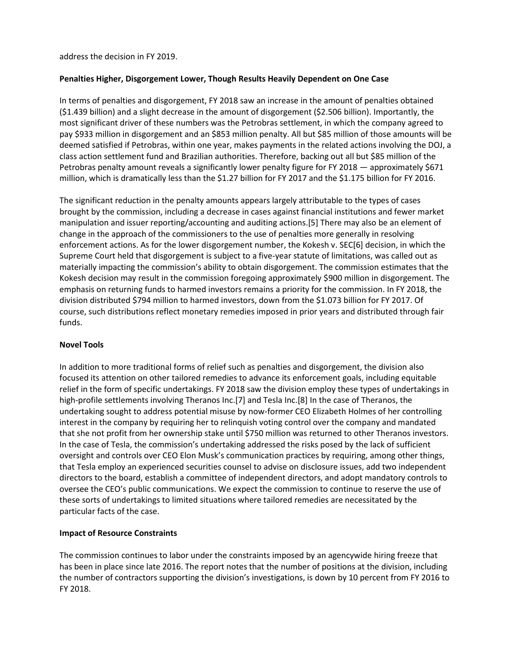address the decision in FY 2019.

## **Penalties Higher, Disgorgement Lower, Though Results Heavily Dependent on One Case**

In terms of penalties and disgorgement, FY 2018 saw an increase in the amount of penalties obtained (\$1.439 billion) and a slight decrease in the amount of disgorgement (\$2.506 billion). Importantly, the most significant driver of these numbers was the Petrobras settlement, in which the company agreed to pay \$933 million in disgorgement and an \$853 million penalty. All but \$85 million of those amounts will be deemed satisfied if Petrobras, within one year, makes payments in the related actions involving the DOJ, a class action settlement fund and Brazilian authorities. Therefore, backing out all but \$85 million of the Petrobras penalty amount reveals a significantly lower penalty figure for FY 2018 - approximately \$671 million, which is dramatically less than the \$1.27 billion for FY 2017 and the \$1.175 billion for FY 2016.

The significant reduction in the penalty amounts appears largely attributable to the types of cases brought by the commission, including a decrease in cases against financial institutions and fewer market manipulation and issuer reporting/accounting and auditing actions.[5] There may also be an element of change in the approach of the commissioners to the use of penalties more generally in resolving enforcement actions. As for the lower disgorgement number, the Kokesh v. SEC[6] decision, in which the Supreme Court held that disgorgement is subject to a five-year statute of limitations, was called out as materially impacting the commission's ability to obtain disgorgement. The commission estimates that the Kokesh decision may result in the commission foregoing approximately \$900 million in disgorgement. The emphasis on returning funds to harmed investors remains a priority for the commission. In FY 2018, the division distributed \$794 million to harmed investors, down from the \$1.073 billion for FY 2017. Of course, such distributions reflect monetary remedies imposed in prior years and distributed through fair funds.

#### **Novel Tools**

In addition to more traditional forms of relief such as penalties and disgorgement, the division also focused its attention on other tailored remedies to advance its enforcement goals, including equitable relief in the form of specific undertakings. FY 2018 saw the division employ these types of undertakings in high-profile settlements involving Theranos Inc.[7] and Tesla Inc.[8] In the case of Theranos, the undertaking sought to address potential misuse by now-former CEO Elizabeth Holmes of her controlling interest in the company by requiring her to relinquish voting control over the company and mandated that she not profit from her ownership stake until \$750 million was returned to other Theranos investors. In the case of Tesla, the commission's undertaking addressed the risks posed by the lack of sufficient oversight and controls over CEO Elon Musk's communication practices by requiring, among other things, that Tesla employ an experienced securities counsel to advise on disclosure issues, add two independent directors to the board, establish a committee of independent directors, and adopt mandatory controls to oversee the CEO's public communications. We expect the commission to continue to reserve the use of these sorts of undertakings to limited situations where tailored remedies are necessitated by the particular facts of the case.

# **Impact of Resource Constraints**

The commission continues to labor under the constraints imposed by an agencywide hiring freeze that has been in place since late 2016. The report notes that the number of positions at the division, including the number of contractors supporting the division's investigations, is down by 10 percent from FY 2016 to FY 2018.